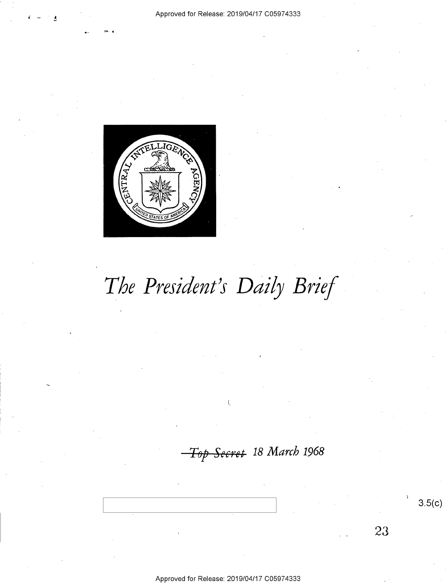

# The President's Daily Brief

<del>Top Secret</del> 18 March 1968

 $3.5(c)$ 

23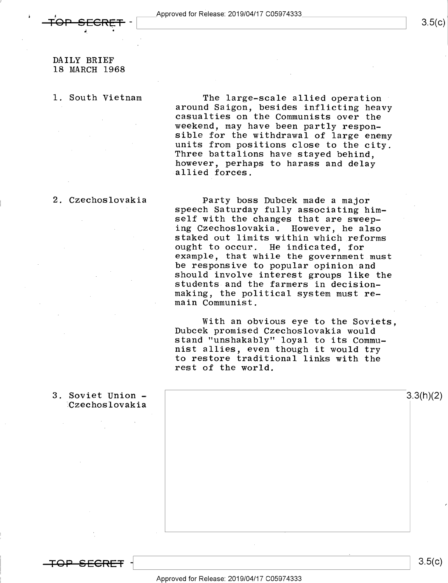### DAILY BRIEF 18 MARCH 1968

I; <sup>u</sup>

l. South Vietnam The large-scale allied operation<br>around Saigon, besides inflicting heavy<br>casualties on the Communists over the<br>weekend, may have been partly responsible for the withdrawal of large enemy<br>units from positions close to the city.<br>Three battalions have stayed behind, however, perhaps to harass and delay allied forces.

2. Czechoslovakia Party boss Dubcek made a major speech Saturday fully associating himself with the changes that are sweeping Czechoslovakia. However, he also staked out limits within which reforms ought to occur. He indicated, for example, that while the government must<br>be responsive to popular opinion and should involve interest groups like the students and the farmers in decisionmaking, the political system must remain Communist.

> With an obvious eye to the Soviets, Dubcek promised Czechoslovakia would stand "unshakably" loyal to its Communist allies, even though it would try to restore traditional links with the rest of the world.

| 3. Soviet Union -<br>Czechoslovakia | 3.3(h)(2) |
|-------------------------------------|-----------|
| $\sim$<br>$\sim$<br>$\sim$          |           |
| ٠                                   |           |
|                                     |           |
|                                     |           |
| $\bullet$                           |           |

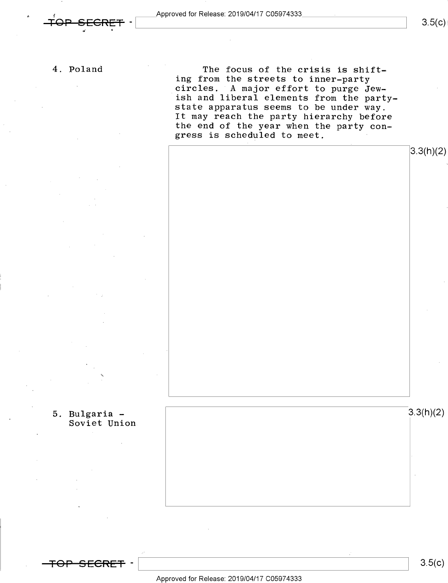4. Poland

,

The focus of the crisis is shifting from the streets to inner-party circles. A major effort to purge Jew-<br>ish and liberal elements from the partystate apparatus seems to be under way. It may reach the party hierarchy before the end of the year when the party con $g$ ress is scheduled to meet.



5. Bulgaria - Soviet Union

K

 $3.3(h)(2)$ 



 $3.5(c)$ 

Approved for Release: 2019/O4/17 CO5974333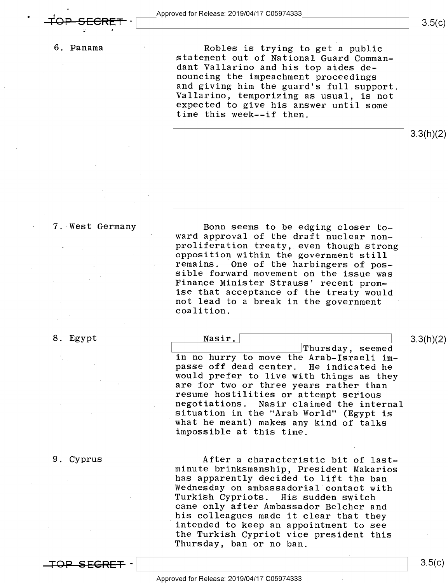#### 6. Panama

5- r

Robles is trying to get a public statement out of National Guard Commandant Vallarino and his top aides denouncing the impeachment proceedings<br>and giving him the guard's full support. Vallarino, temporizing as usual, is not<br>expected to give his answer until some time this week--if then.



#### 7. West Germany

Bonn seems to be edging closer to-<br>ward approval of the draft nuclear non-<br>proliferation treaty, even though strong<br>opposition within the government still<br>remains. One of the harbingers of pos-<br>sible forward movement on th not lead to a break in the government coalition.

 $\mathbf{S}$ . Egypt  $\overline{\mathbf{S}}$   $\overline{\mathbf{S}}$   $\overline{\mathbf{S}}$   $\overline{\mathbf{S}}$   $\overline{\mathbf{S}}$   $\overline{\mathbf{S}}$   $\overline{\mathbf{S}}$   $\overline{\mathbf{S}}$   $\overline{\mathbf{S}}$   $\overline{\mathbf{S}}$   $\overline{\mathbf{S}}$   $\overline{\mathbf{S}}$   $\overline{\mathbf{S}}$   $\overline{\mathbf{S}}$   $\overline{\mathbf{S}}$   $\overline{\mathbf{S}}$   $\overline{\mathbf{S}}$ 

#### 9. Cyprus

Thursday, seemed in no hurry to move the Arab-Israeli im-<br>passe off dead center. He indicated he<br>would prefer to live with things as they<br>are for two or three years rather than<br>resume hostilities or attempt serious<br>negotiations. Nasir clai what he meant) makes any kind of talks impossible at this time.

After a characteristic bit of last-<br>minute brinksmanship, President Makarios<br>has apparently decided to lift the ban<br>Wednesday on ambassadorial contact with<br>Turkish Cypriots. His sudden switch<br>came only after Ambassador Bel the Turkish Cypriot vice president this Thursday, ban or no ban.

lope-secret - and the contract of the contract of the contract of the contract of the contract of the contract of the contract of the contract of the contract of the contract of the contract of the contract of the contract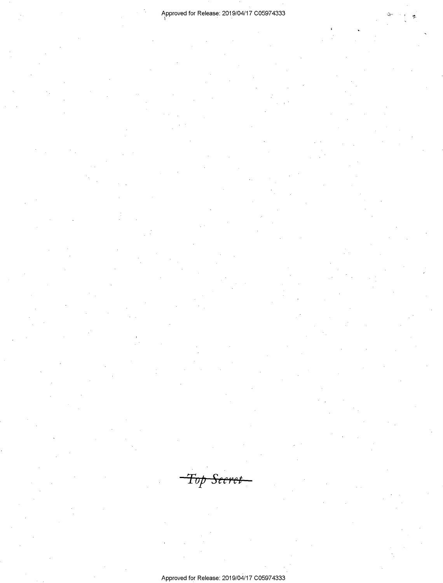2

1

 $\ddot{\phantom{0}}$ 

 $\neg$ Top Secret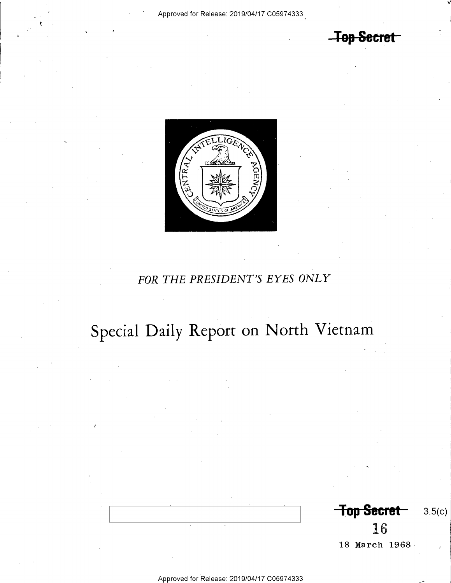**Top Secret** 



## FOR THE PRESIDENT'S EYES ONLY

# Special Daily Report on North Vietnam

Top Secret  $3.5(c)$ 16 18 March 1968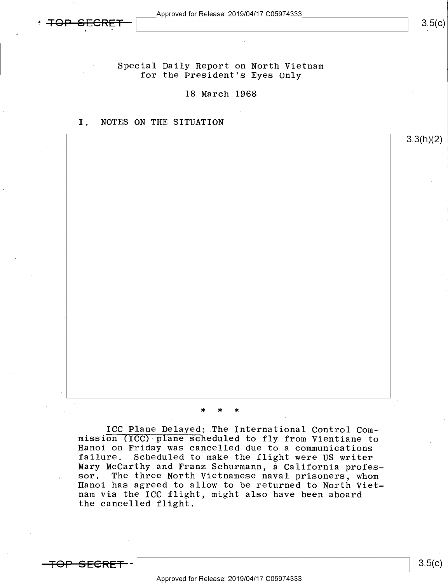$3.5(c)$ 

3.3(h)(2)

Special Daily Report on North Vietnam for the President's Eyes Only

18 March 1968

I. NOTES ON THE SITUATION

\* \* \*

ICC Plane Delayed; The International Control Com-<br>mission (ICC) plane scheduled to fly from Vientiane to<br>Hanoi on Friday was cancelled due to a communications<br>failure. Scheduled to make the flight were US writer Mary McCarthy and Franz Schurmann, a California profes-<br>sor. The three North Vietnamese naval prisoners, whom Hanoi has agreed to allow to be returned to North Vietnam via the ICC flight, might also have been aboard the cancelled flight.

<del>'OP SECRET</del>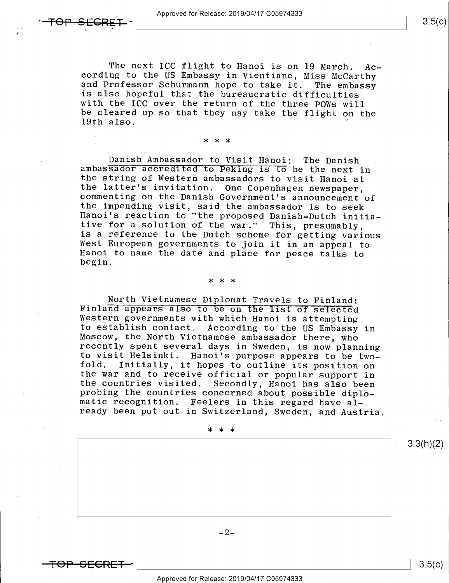<del>'OP SECRET -</del>

The next ICC flight to Hanoi is on 19 March. Ac-<br>cording to the US Embassy in Vientiane, Miss McCarthy<br>and Professor Schurmann hope to take it. The embassy<br>is also hopeful that the bureaucratic difficulties with the ICC over the return of the three POWs will<br>be cleared up so that they may take the flight on the<br>19th also.

.\* \* \*

Danish Ambassador to Visit Hanoi: The Danish<br>ambassador accredited to Peking is to be the next in<br>the string of Western ambassadors to visit Hanoi at<br>the latter's invitation. One Copenhagen newspaper,<br>commenting on the Dan West European governments to join it in an appeal to Hanoi to name the date and place for peace talks to begin.  $begin.$ 

\* \* \*\_

North Vietnamese Diplomat Travels to Finland:<br>Finland appears also to be on the list of selected<br>Western governments with which Hanoi is attempting<br>to establish contact. According to the US Embassy in Moscow, the North Vietnamese ambassador there, who<br>recently spent several days in Sweden, is now planning<br>to visit Helsinki. Hanoi's purpose appears to be two-<br>fold. Initially, it hopes to outline its position on the war and to receive official or popular support in<br>the countries visited. Secondly, Hanoi has also been<br>probing the countries concerned about possible diplo-<br>matic recognition. Feelers in this regard have al-<br>ready been

\*\*\*  $-2-$ 3.3(h)(2)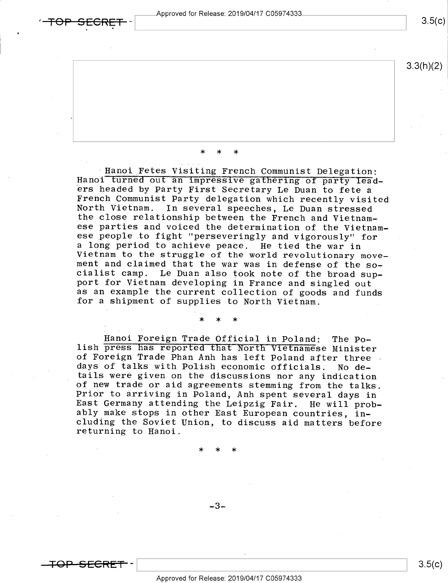pproved for Release: 2019/O4/17 CO5974333 TA \

 $\bullet$ 

 $3.5(c)$ 



\* \* \*

Hanoi Fetes Visiting French Communist Delegation:<br>Hanoi turned out an impressive gathering of party lead-<br>ers headed by Party First Secretary Le Duan to fete a<br>French Communist Party delegation which recently visited<br>North Vietnam to the struggle of the world revolutionary move-<br>ment and claimed that the war was in defense of the so-<br>cialist camp. Le Duan also took note of the broad sup-<br>port for Vietnam developing in France and singled out<br>

\* \* \*

Hanoi Foreign Trade Official in Poland; The Po-<br>lish press has reported that North Vietnamese Minister<br>of Foreign Trade Phan Anh has left Poland after three<br>days of talks with Polish economic officials. No details were given on the discussions nor any indication<br>of new trade or aid agreements stemming from the talks.<br>Prior to arriving in Poland, Anh spent several days in<br>East Germany attending the Leipzig Fair. He will prob-<br>a

- \* \* \*

 $-3-$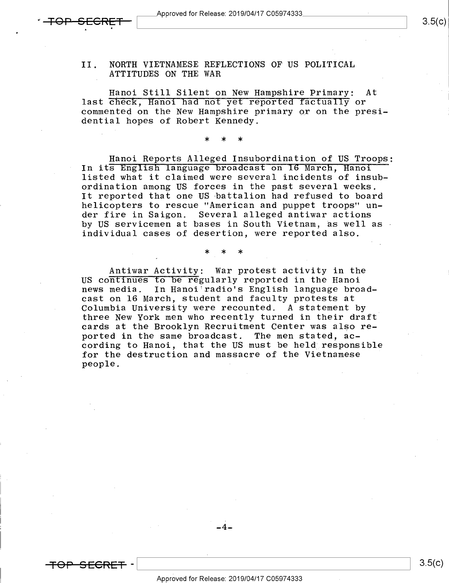#### II. NORTH VIETNAMESE REFLECTIONS OF US POLITICAL ATTITUDES ON THE WAR

Hanoi Still Silent on New Hampshire Primary: At last check, Hanoi had not yet reported factually or commented on the New Hampshire primary or on the presidential hopes of Robert Kennedy.

Hanoi Reports Alleged Insubordination of US Troops; In its English language broadcast on 16 March, Hanoi listed what it claimed were several incidents of insubordination among US forces in the past several weeks. It reported that one US battalion had refused to board helicopters to rescue "American and puppet troops" under fire in Saigon. Several alleged antiwar actions by US servicemen at bases in South Vietnam, as well as individual cases of desertion, were reported also.

\* \* \*

\* \* \*

Antiwar Activity: War protest activity in the US continues to be regularly reported in the Hanoi news media. In Hanoi radio's English language broadcast on 16 March, student and faculty protests at Columbia University were recounted. A statement by three New York men who recently turned in their draft cards at the Brooklyn Recruitment Center was also reported in the same broadcast. The men stated, according to Hanoi, that the US must be held responsible for the destruction and massacre of the Vietnamese people. '

+e|=—sEeR~E+ -\ \ 3-5(<>)